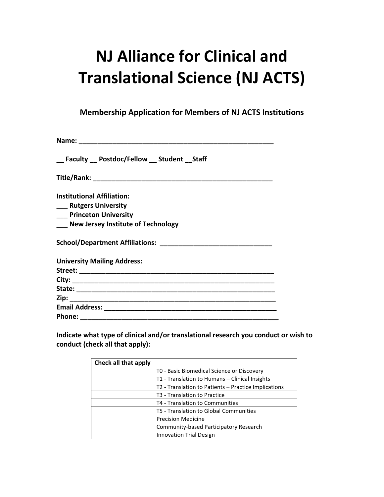## **NJ Alliance for Clinical and Translational Science (NJ ACTS)**

**Membership Application for Members of NJ ACTS Institutions**

| __ Faculty __ Postdoc/Fellow __ Student __ Staff |
|--------------------------------------------------|
|                                                  |
| <b>Institutional Affiliation:</b>                |
| ___ Rutgers University                           |
| __ Princeton University                          |
| <b>New Jersey Institute of Technology</b>        |
|                                                  |
| <b>University Mailing Address:</b>               |
|                                                  |
|                                                  |
|                                                  |
|                                                  |
|                                                  |
|                                                  |

**Indicate what type of clinical and/or translational research you conduct or wish to conduct (check all that apply):**

| Check all that apply |                                                      |
|----------------------|------------------------------------------------------|
|                      | TO - Basic Biomedical Science or Discovery           |
|                      | T1 - Translation to Humans - Clinical Insights       |
|                      | T2 - Translation to Patients – Practice Implications |
|                      | T3 - Translation to Practice                         |
|                      | T4 - Translation to Communities                      |
|                      | T5 - Translation to Global Communities               |
|                      | <b>Precision Medicine</b>                            |
|                      | Community-based Participatory Research               |
|                      | <b>Innovation Trial Design</b>                       |